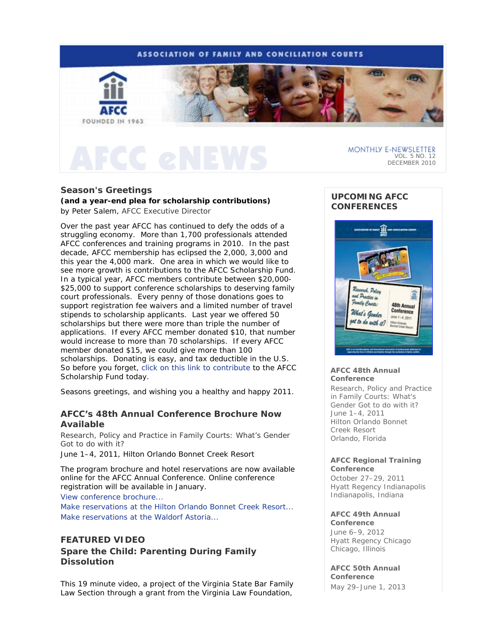

## **Season's Greetings**

## **(and a year-end plea for scholarship contributions)** *by Peter Salem, AFCC Executive Director*

Over the past year AFCC has continued to defy the odds of a struggling economy. More than 1,700 professionals attended AFCC conferences and training programs in 2010. In the past decade, AFCC membership has eclipsed the 2,000, 3,000 and this year the 4,000 mark. One area in which we would like to see more growth is contributions to the AFCC Scholarship Fund. In a typical year, AFCC members contribute between \$20,000- \$25,000 to support conference scholarships to deserving family court professionals. Every penny of those donations goes to support registration fee waivers and a limited number of travel stipends to scholarship applicants. Last year we offered 50 scholarships but there were more than triple the number of applications. If every AFCC member donated \$10, that number would increase to more than 70 scholarships. If every AFCC member donated \$15, we could give more than 100 scholarships. Donating is easy, and tax deductible in the U.S. So before you forget, click on this link to contribute to the AFCC Scholarship Fund today.

Seasons greetings, and wishing you a healthy and happy 2011.

# **AFCC's 48th Annual Conference Brochure Now Available**

*Research, Policy and Practice in Family Courts: What's Gender Got to do with it?* 

June 1–4, 2011, Hilton Orlando Bonnet Creek Resort

The program brochure and hotel reservations are now available online for the AFCC Annual Conference. Online conference registration will be available in January.

View conference brochure...

Make reservations at the Hilton Orlando Bonnet Creek Resort... Make reservations at the Waldorf Astoria...

# **FEATURED VIDEO**

## *Spare the Child: Parenting During Family Dissolution*

This 19 minute video, a project of the Virginia State Bar Family Law Section through a grant from the Virginia Law Foundation,

# **UPCOMING AFCC CONFERENCES**



#### **AFCC 48th Annual Conference**

*Research, Policy and Practice in Family Courts: What's Gender Got to do with it?*  June 1–4, 2011 Hilton Orlando Bonnet Creek Resort Orlando, Florida

### **AFCC Regional Training Conference**

October 27–29, 2011 Hyatt Regency Indianapolis Indianapolis, Indiana

### **AFCC 49th Annual**

**Conference** June 6–9, 2012 Hyatt Regency Chicago Chicago, Illinois

**AFCC 50th Annual Conference**

May 29–June 1, 2013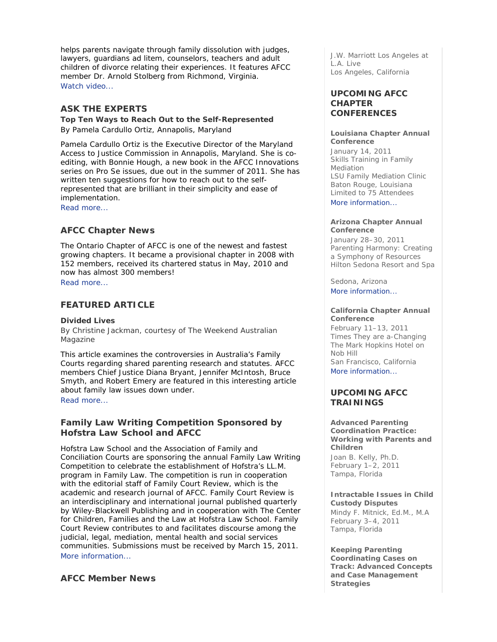helps parents navigate through family dissolution with judges, lawyers, *guardians ad litem*, counselors, teachers and adult children of divorce relating their experiences. It features AFCC member Dr. Arnold Stolberg from Richmond, Virginia. Watch video...

# **ASK THE EXPERTS**

**Top Ten Ways to Reach Out to the Self-Represented**  *By Pamela Cardullo Ortiz, Annapolis, Maryland*

Pamela Cardullo Ortiz is the Executive Director of the Maryland Access to Justice Commission in Annapolis, Maryland. She is coediting, with Bonnie Hough, a new book in the AFCC *Innovations* series on *Pro* Se issues, due out in the summer of 2011. She has written ten suggestions for how to reach out to the selfrepresented that are brilliant in their simplicity and ease of implementation.

Read more...

## **AFCC Chapter News**

The Ontario Chapter of AFCC is one of the newest and fastest growing chapters. It became a provisional chapter in 2008 with 152 members, received its chartered status in May, 2010 and now has almost 300 members! Read more...

# **FEATURED ARTICLE**

### **Divided Lives**

*By Christine Jackman, courtesy of The Weekend Australian Magazine* 

This article examines the controversies in Australia's Family Courts regarding shared parenting research and statutes. AFCC members Chief Justice Diana Bryant, Jennifer McIntosh, Bruce Smyth, and Robert Emery are featured in this interesting article about family law issues down under. Read more...

## **Family Law Writing Competition Sponsored by Hofstra Law School and AFCC**

Hofstra Law School and the Association of Family and Conciliation Courts are sponsoring the annual Family Law Writing Competition to celebrate the establishment of Hofstra's LL.M. program in Family Law. The competition is run in cooperation with the editorial staff of *Family Court Review*, which is the academic and research journal of AFCC. *Family Court Review* is an interdisciplinary and international journal published quarterly by Wiley-Blackwell Publishing and in cooperation with The Center for Children, Families and the Law at Hofstra Law School. *Family Court Review* contributes to and facilitates discourse among the judicial, legal, mediation, mental health and social services communities. Submissions must be received by March 15, 2011. More information...

## **AFCC Member News**

J.W. Marriott Los Angeles at L.A. Live Los Angeles, California

## **UPCOMING AFCC CHAPTER CONFERENCES**

### **Louisiana Chapter Annual Conference**

January 14, 2011 *Skills Training in Family Mediation*  LSU Family Mediation Clinic Baton Rouge, Louisiana *Limited to 75 Attendees* More information...

### **Arizona Chapter Annual Conference**

January 28–30, 2011 *Parenting Harmony: Creating a Symphony of Resources*  Hilton Sedona Resort and Spa

Sedona, Arizona More information...

### **California Chapter Annual Conference**

February 11–13, 2011 *Times They are a-Changing*  The Mark Hopkins Hotel on Nob Hill San Francisco, California More information...

## **UPCOMING AFCC TRAININGS**

**Advanced Parenting Coordination Practice: Working with Parents and Children**  *Joan B. Kelly, Ph.D.*

February 1–2, 2011 Tampa, Florida

**Intractable Issues in Child Custody Disputes** *Mindy F. Mitnick, Ed.M., M.A* February 3–4, 2011

Tampa, Florida **Keeping Parenting** 

**Coordinating Cases on Track: Advanced Concepts and Case Management Strategies**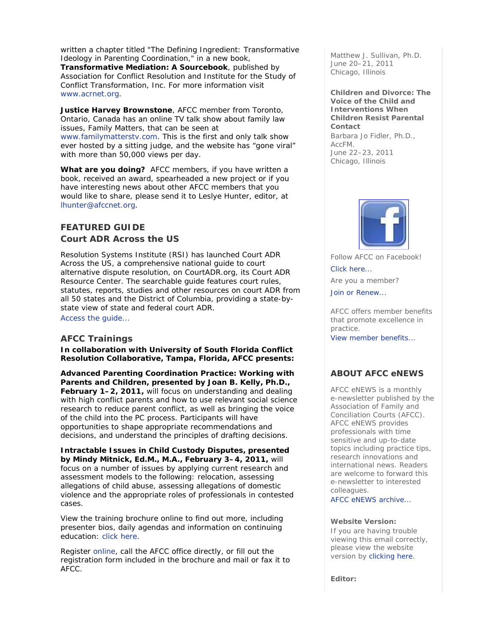written a chapter titled "The Defining Ingredient: Transformative Ideology in Parenting Coordination," in a new book, *Transformative Mediation: A Sourcebook*, published by Association for Conflict Resolution and Institute for the Study of Conflict Transformation, Inc. For more information visit www.acrnet.org.

**Justice Harvey Brownstone**, AFCC member from Toronto, Ontario, Canada has an online TV talk show about family law issues, *Family Matters*, that can be seen at www.familymatterstv.com. This is the first and only talk show ever hosted by a sitting judge, and the website has "gone viral" with more than 50,000 views per day.

**What are you doing?** AFCC members, if you have written a book, received an award, spearheaded a new project or if you have interesting news about other AFCC members that you would like to share, please send it to Leslye Hunter, editor, at lhunter@afccnet.org.

# **FEATURED GUIDE**  *Court ADR Across the US*

Resolution Systems Institute (RSI) has launched *Court ADR Across the US*, a comprehensive national guide to court alternative dispute resolution, on CourtADR.org, its Court ADR Resource Center. The searchable guide features court rules, statutes, reports, studies and other resources on court ADR from all 50 states and the District of Columbia, providing a state-bystate view of state and federal court ADR. Access the guide...

# **AFCC Trainings**

**In collaboration with University of South Florida Conflict Resolution Collaborative, Tampa, Florida, AFCC presents:** 

*Advanced Parenting Coordination Practice: Working with Parents and Children,* **presented by Joan B. Kelly, Ph.D., February 1–2, 2011,** will focus on understanding and dealing with high conflict parents and how to use relevant social science research to reduce parent conflict, as well as bringing the voice of the child into the PC process. Participants will have opportunities to shape appropriate recommendations and decisions, and understand the principles of drafting decisions.

*Intractable Issues in Child Custody Disputes,* **presented by Mindy Mitnick, Ed.M., M.A., February 3–4, 2011,** will focus on a number of issues by applying current research and assessment models to the following: relocation, assessing allegations of child abuse, assessing allegations of domestic violence and the appropriate roles of professionals in contested cases.

View the training brochure online to find out more, including presenter bios, daily agendas and information on continuing education: click here.

Register online, call the AFCC office directly, or fill out the registration form included in the brochure and mail or fax it to AFCC.

*Matthew J. Sullivan, Ph.D.* June 20–21, 2011 Chicago, Illinois

**Children and Divorce: The Voice of the Child and Interventions When Children Resist Parental Contact**  *Barbara Jo Fidler, Ph.D., AccFM.* June 22–23, 2011

Chicago, Illinois



Follow AFCC on Facebook! Click here...

Are you a member?

Join or Renew...

AFCC offers member benefits that promote excellence in practice.

View member benefits...

# **ABOUT AFCC eNEWS**

*AFCC eNEWS* is a monthly e-newsletter published by the Association of Family and Conciliation Courts (AFCC). *AFCC eNEWS* provides professionals with time sensitive and up-to-date topics including practice tips, research innovations and international news. Readers are welcome to forward this e-newsletter to interested colleagues.

AFCC eNEWS archive...

### **Website Version:**

If you are having trouble viewing this email correctly, please view the website version by clicking here.

**Editor:**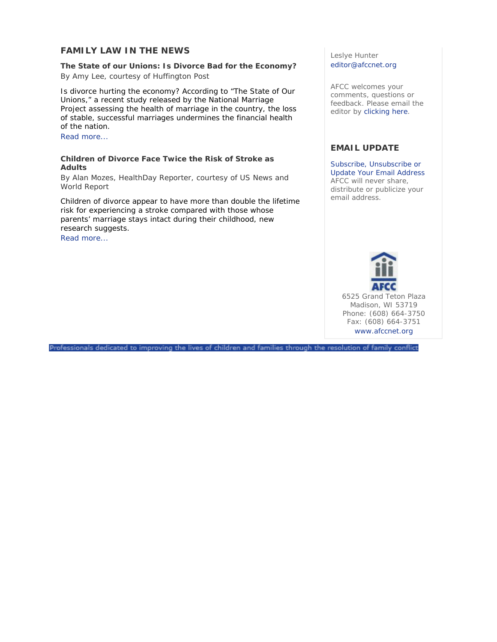## **FAMILY LAW IN THE NEWS**

**The State of our Unions: Is Divorce Bad for the Economy?**  *By Amy Lee, courtesy of Huffington Post* 

Is divorce hurting the economy? According to "The State of Our Unions," a recent study released by the National Marriage Project assessing the health of marriage in the country, the loss of stable, successful marriages undermines the financial health of the nation.

Read more...

## **Children of Divorce Face Twice the Risk of Stroke as Adults**

*By Alan Mozes, HealthDay Reporter, courtesy of US News and World Report* 

Children of divorce appear to have more than double the lifetime risk for experiencing a stroke compared with those whose parents' marriage stays intact during their childhood, new research suggests.

Read more...

## Leslye Hunter editor@afccnet.org

AFCC welcomes your comments, questions or feedback. Please email the editor by clicking here.

# **EMAIL UPDATE**

Subscribe, Unsubscribe or Update Your Email Address AFCC will never share, distribute or publicize your email address.



6525 Grand Teton Plaza Madison, WI 53719 Phone: (608) 664-3750 Fax: (608) 664-3751 www.afccnet.org

Professionals dedicated to improving the lives of children and families through the resolution of family conflict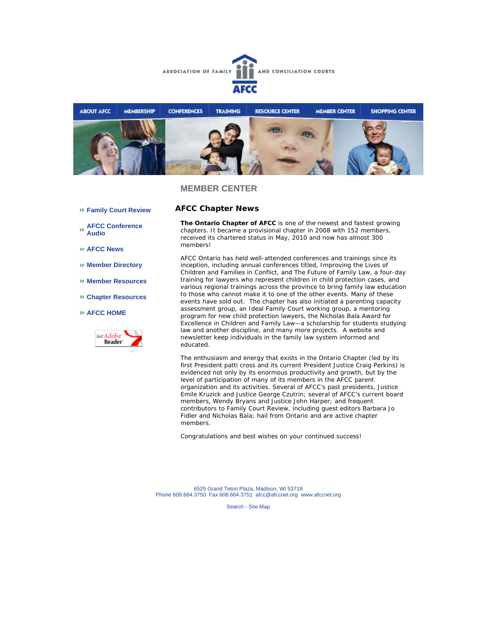



## **MEMBER CENTER**

**AFCC Chapter News** 

- **Family Court Review**
- **AFCC Conference Audio**
- **AFCC News**
- **Member Directory**
- **Member Resources**
- **Chapter Resources**

### **AFCC HOME**



**The Ontario Chapter of AFCC** is one of the newest and fastest growing chapters. It became a provisional chapter in 2008 with 152 members, received its chartered status in May, 2010 and now has almost 300 members!

AFCC Ontario has held well-attended conferences and trainings since its inception, including annual conferences titled, *Improving the Lives of Children and Families in Conflict,* and *The Future of Family Law,* a four-day training for lawyers who represent children in child protection cases, and various regional trainings across the province to bring family law education to those who cannot make it to one of the other events. Many of these events have sold out. The chapter has also initiated a parenting capacity assessment group, an Ideal Family Court working group, a mentoring program for new child protection lawyers, the Nicholas Bala Award for Excellence in Children and Family Law—a scholarship for students studying law and another discipline, and many more projects. A website and newsletter keep individuals in the family law system informed and educated.

The enthusiasm and energy that exists in the Ontario Chapter (led by its first President patti cross and its current President Justice Craig Perkins) is evidenced not only by its enormous productivity and growth, but by the level of participation of many of its members in the AFCC parent organization and its activities. Several of AFCC's past presidents, Justice Emile Kruzick and Justice George Czutrin; several of AFCC's current board members, Wendy Bryans and Justice John Harper; and frequent contributors to *Family Court Review,* including guest editors Barbara Jo Fidler and Nicholas Bala; hail from Ontario and are active chapter members.

Congratulations and best wishes on your continued success!

6525 Grand Teton Plaza, Madison, WI 53719 Phone 608.664.3750 Fax 608.664.3751 afcc@afccnet.org www.afccnet.org

Search - Site Map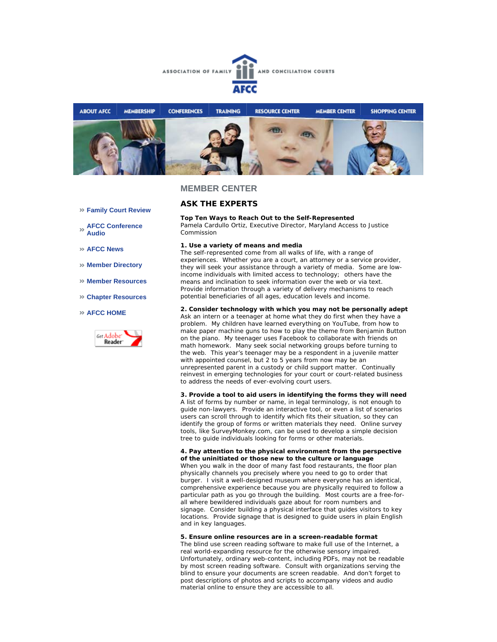



### **MEMBER CENTER**

## **ASK THE EXPERTS**

### **Top Ten Ways to Reach Out to the Self-Represented**

*Pamela Cardullo Ortiz, Executive Director, Maryland Access to Justice Commission* 

### **1. Use a variety of means and media**

The self-represented come from all walks of life, with a range of experiences. Whether you are a court, an attorney or a service provider, they will seek your assistance through a variety of media. Some are lowincome individuals with limited access to technology; others have the means and inclination to seek information over the web or via text. Provide information through a variety of delivery mechanisms to reach potential beneficiaries of all ages, education levels and income.

#### **2. Consider technology with which you may not be personally adept**

Ask an intern or a teenager at home what they do first when they have a problem. My children have learned everything on YouTube, from how to make paper machine guns to how to play the theme from *Benjamin Button* on the piano. My teenager uses Facebook to collaborate with friends on math homework. Many seek social networking groups before turning to the web. This year's teenager may be a respondent in a juvenile matter with appointed counsel, but 2 to 5 years from now may be an unrepresented parent in a custody or child support matter. Continually reinvest in emerging technologies for your court or court-related business to address the needs of ever-evolving court users.

#### **3. Provide a tool to aid users in identifying the forms they will need**

A list of forms by number or name, in legal terminology, is not enough to guide non-lawyers. Provide an interactive tool, or even a list of scenarios users can scroll through to identify which fits their situation, so they can identify the group of forms or written materials they need. Online survey tools, like SurveyMonkey.com, can be used to develop a simple decision tree to guide individuals looking for forms or other materials.

#### **4. Pay attention to the physical environment from the perspective of the uninitiated or those new to the culture or language**

When you walk in the door of many fast food restaurants, the floor plan physically channels you precisely where you need to go to order that burger. I visit a well-designed museum where everyone has an identical, comprehensive experience because you are physically required to follow a particular path as you go through the building. Most courts are a free-forall where bewildered individuals gaze about for room numbers and signage. Consider building a physical interface that guides visitors to key locations. Provide signage that is designed to guide users in plain English and in key languages.

#### **5. Ensure online resources are in a screen-readable format**

The blind use screen reading software to make full use of the Internet, a real world-expanding resource for the otherwise sensory impaired. Unfortunately, ordinary web-content, including PDFs, may not be readable by most screen reading software. Consult with organizations serving the blind to ensure your documents are screen readable. And don't forget to post descriptions of photos and scripts to accompany videos and audio material online to ensure they are accessible to all.

- **Family Court Review**
- **AFCC Conference Audio**
- **AFCC News**
- **Member Directory**
- **Member Resources**
- **Chapter Resources**

#### **AFCC HOME**